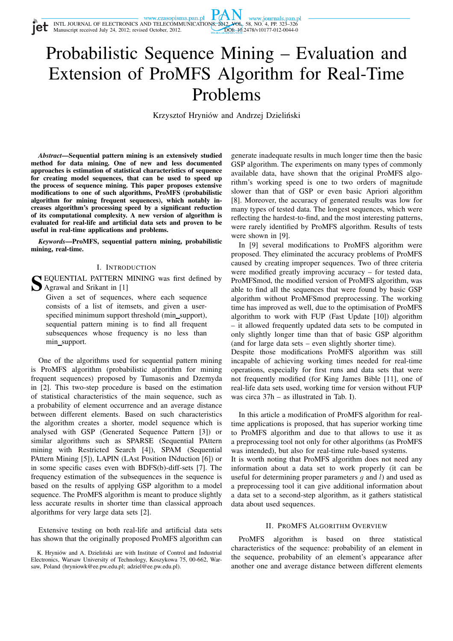INTL JOURNAL OF ELECTRONICS AND TELECOMMUNICATIONS, 2012, VOL. 58, NO. 4, PP. 323–326<br>Manuscript received July 24, 2012; revised October, 2012. DOI: 10.2478/v10177-012-0044-0

# PA

# Probabilistic Sequence Mining – Evaluation and Extension of ProMFS Algorithm for Real-Time Problems

Krzysztof Hryniów and Andrzej Dzieliński

*Abstract***—Sequential pattern mining is an extensively studied method for data mining. One of new and less documented approaches is estimation of statistical characteristics of sequence for creating model sequences, that can be used to speed up the process of sequence mining. This paper proposes extensive modifications to one of such algorithms, ProMFS (probabilistic algorithm for mining frequent sequences), which notably increases algorithm's processing speed by a significant reduction of its computational complexity. A new version of algorithm is evaluated for real-life and artificial data sets and proven to be useful in real-time applications and problems.**

*Keywords***—ProMFS, sequential pattern mining, probabilistic mining, real-time.**

#### I. INTRODUCTION

**S** EQUENTIAL PATTERN MINING was first defined by Agrawal and Srikant in [1] Agrawal and Srikant in [1]

Given a set of sequences, where each sequence consists of a list of itemsets, and given a userspecified minimum support threshold (min\_support), sequential pattern mining is to find all frequent subsequences whose frequency is no less than min support.

One of the algorithms used for sequential pattern mining is ProMFS algorithm (probabilistic algorithm for mining frequent sequences) proposed by Tumasonis and Dzemyda in [2]. This two-step procedure is based on the estimation of statistical characteristics of the main sequence, such as a probability of element occurrence and an average distance between different elements. Based on such characteristics the algorithm creates a shorter, model sequence which is analysed with GSP (Generated Sequence Pattern [3]) or similar algorithms such as SPARSE (Sequential PAttern mining with Restricted Search [4]), SPAM (Sequential PAttern Mining [5]), LAPIN (LAst Position INduction [6]) or in some specific cases even with BDFS(b)-diff-sets [7]. The frequency estimation of the subsequences in the sequence is based on the results of applying GSP algorithm to a model sequence. The ProMFS algorithm is meant to produce slightly less accurate results in shorter time than classical approach algorithms for very large data sets [2].

Extensive testing on both real-life and artificial data sets has shown that the originally proposed ProMFS algorithm can

generate inadequate results in much longer time then the basic GSP algorithm. The experiments on many types of commonly available data, have shown that the original ProMFS algorithm's working speed is one to two orders of magnitude slower than that of GSP or even basic Apriori algorithm [8]. Moreover, the accuracy of generated results was low for many types of tested data. The longest sequences, which were reflecting the hardest-to-find, and the most interesting patterns, were rarely identified by ProMFS algorithm. Results of tests were shown in [9].

In [9] several modifications to ProMFS algorithm were proposed. They eliminated the accuracy problems of ProMFS caused by creating improper sequences. Two of three criteria were modified greatly improving accuracy – for tested data, ProMFSmod, the modified version of ProMFS algorithm, was able to find all the sequences that were found by basic GSP algorithm without ProMFSmod preprocessing. The working time has improved as well, due to the optimisation of ProMFS algorithm to work with FUP (Fast Update [10]) algorithm – it allowed frequently updated data sets to be computed in only slightly longer time than that of basic GSP algorithm (and for large data sets – even slightly shorter time).

Despite those modifications ProMFS algorithm was still incapable of achieving working times needed for real-time operations, especially for first runs and data sets that were not frequently modified (for King James Bible [11], one of real-life data sets used, working time for version without FUP was circa 37h – as illustrated in Tab. I).

In this article a modification of ProMFS algorithm for realtime applications is proposed, that has superior working time to ProMFS algorithm and due to that allows to use it as a preprocessing tool not only for other algorithms (as ProMFS was intended), but also for real-time rule-based systems.

It is worth noting that ProMFS algorithm does not need any information about a data set to work properly (it can be useful for determining proper parameters  $q$  and  $l$ ) and used as a preprocessing tool it can give additional information about a data set to a second-step algorithm, as it gathers statistical data about used sequences.

#### II. PROMFS ALGORITHM OVERVIEW

ProMFS algorithm is based on three statistical characteristics of the sequence: probability of an element in the sequence, probability of an element's appearance after another one and average distance between different elements

K. Hryniów and A. Dzieliński are with Institute of Control and Industrial Electronics, Warsaw University of Technology, Koszykowa 75, 00-662, Warsaw, Poland (hryniowk@ee.pw.edu.pl; adziel@ee.pw.edu.pl).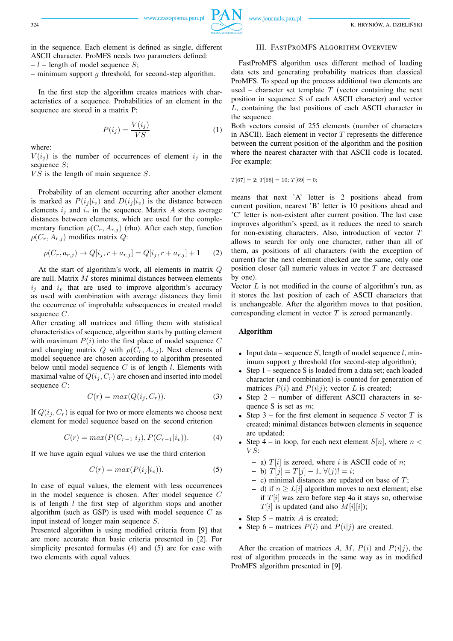324 K. HRYNIÓW, A. DZIELIŃSKI

in the sequence. Each element is defined as single, different ASCII character. ProMFS needs two parameters defined:

 $-l$  – length of model sequence S;

– minimum support  $g$  threshold, for second-step algorithm.

In the first step the algorithm creates matrices with characteristics of a sequence. Probabilities of an element in the sequence are stored in a matrix P:

$$
P(i_j) = \frac{V(i_j)}{VS} \tag{1}
$$

where:

 $V(i<sub>j</sub>)$  is the number of occurrences of element  $i<sub>j</sub>$  in the sequence  $S$ ;

 $VS$  is the length of main sequence  $S$ .

Probability of an element occurring after another element is marked as  $P(i_j|i_v)$  and  $D(i_j|i_v)$  is the distance between elements  $i_j$  and  $i_v$  in the sequence. Matrix A stores average distances between elements, which are used for the complementary function  $\rho(C_r, A_{r,i})$  (rho). After each step, function  $\rho(C_r, A_{r,j})$  modifies matrix Q:

$$
\rho(C_r, a_{r,j}) \to Q[i_j, r + a_{r,j}] = Q[i_j, r + a_{r,j}] + 1 \tag{2}
$$

At the start of algorithm's work, all elements in matrix Q are null. Matrix M stores minimal distances between elements  $i_j$  and  $i_v$  that are used to improve algorithm's accuracy as used with combination with average distances they limit the occurrence of improbable subsequences in created model sequence C.

After creating all matrices and filling them with statistical characteristics of sequence, algorithm starts by putting element with maximum  $P(i)$  into the first place of model sequence  $C$ and changing matrix Q with  $\rho(C_r, A_{r,j})$ . Next elements of model sequence are chosen according to algorithm presented below until model sequence  $C$  is of length  $l$ . Elements with maximal value of  $Q(i_j, C_r)$  are chosen and inserted into model sequence C:

$$
C(r) = max(Q(i_j, C_r)).
$$
\n(3)

If  $Q(i_j, C_r)$  is equal for two or more elements we choose next element for model sequence based on the second criterion

$$
C(r) = max(P(C_{r-1}|i_j), P(C_{r-1}|i_v)).
$$
\n(4)

If we have again equal values we use the third criterion

$$
C(r) = max(P(i_j|i_v)).
$$
\n(5)

In case of equal values, the element with less occurrences in the model sequence is chosen. After model sequence C is of length  $l$  the first step of algorithm stops and another algorithm (such as GSP) is used with model sequence  $C$  as input instead of longer main sequence S.

Presented algorithm is using modified criteria from [9] that are more accurate then basic criteria presented in [2]. For simplicity presented formulas (4) and (5) are for case with two elements with equal values.

#### III. FASTPROMFS ALGORITHM OVERVIEW

FastProMFS algorithm uses different method of loading data sets and generating probability matrices than classical ProMFS. To speed up the process additional two elements are used – character set template  $T$  (vector containing the next position in sequence S of each ASCII character) and vector L, containing the last positions of each ASCII character in the sequence.

Both vectors consist of 255 elements (number of characters in ASCII). Each element in vector  $T$  represents the difference between the current position of the algorithm and the position where the nearest character with that ASCII code is located. For example:

$$
T[67] = 2; T[68] = 10; T[69] = 0;
$$

means that next 'A' letter is 2 positions ahead from current position, nearest 'B' letter is 10 positions ahead and 'C' letter is non-existent after current position. The last case improves algorithm's speed, as it reduces the need to search for non-existing characters. Also, introduction of vector T allows to search for only one character, rather than all of them, as positions of all characters (with the exception of current) for the next element checked are the same, only one position closer (all numeric values in vector T are decreased by one).

Vector  $L$  is not modified in the course of algorithm's run, as it stores the last position of each of ASCII characters that is unchangeable. After the algorithm moves to that position, corresponding element in vector  $T$  is zeroed permanently.

#### **Algorithm**

- Input data sequence S, length of model sequence  $l$ , minimum support  $q$  threshold (for second-step algorithm);
- Step 1 sequence S is loaded from a data set; each loaded character (and combination) is counted for generation of matrices  $P(i)$  and  $P(i|j)$ ; vector L is created;
- Step 2 number of different ASCII characters in sequence S is set as m;
- Step 3 for the first element in sequence S vector  $T$  is created; minimal distances between elements in sequence are updated;
- Step 4 in loop, for each next element  $S[n]$ , where  $n <$  $VS:$ 
	- **–** a)  $T[i]$  is zeroed, where i is ASCII code of n;

$$
- b) T[j] = T[j] - 1, \forall (j)! = i;
$$

- $-$  c) minimal distances are updated on base of  $T$ ;
- **−** d) if  $n \geq L[i]$  algorithm moves to next element; else if  $T[i]$  was zero before step 4a it stays so, otherwise  $T[i]$  is updated (and also  $M[i][i]$ );
- Step  $5$  matrix  $\ddot{A}$  is created;
- Step 6 matrices  $P(i)$  and  $P(i|j)$  are created.

After the creation of matrices A, M,  $P(i)$  and  $P(i|j)$ , the rest of algorithm proceeds in the same way as in modified ProMFS algorithm presented in [9].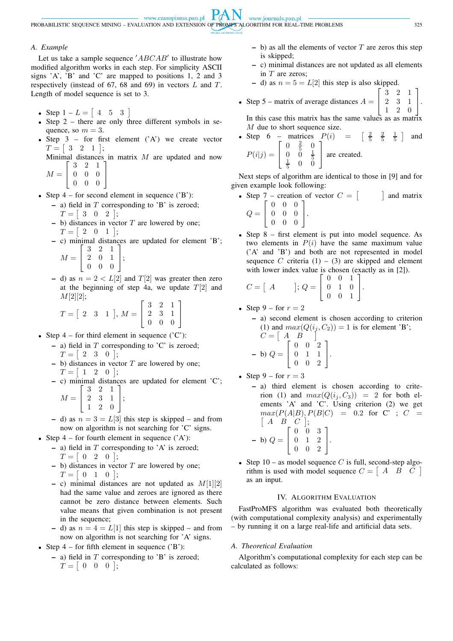www.czasopisma.pan.pl

**PAN** www.journals.pan.pl PROBABILISTIC SEQUENCE MINING – EVALUATION AND EXTENSION OF PROMFS ALGORITHM FOR REAL-TIME PROBLEMS 325

#### *A. Example*

Let us take a sample sequence  $'ABCAB'$  to illustrate how modified algorithm works in each step. For simplicity ASCII signs 'A', 'B' and 'C' are mapped to positions 1, 2 and 3 respectively (instead of 67, 68 and 69) in vectors  $L$  and  $T$ . Length of model sequence is set to 3.

- Step  $1 L = [4 \ 5 \ 3]$
- Step 2 there are only three different symbols in sequence, so  $m = 3$ .
- Step  $3$  for first element  $(A')$  we create vector  $T = \begin{bmatrix} 3 & 2 & 1 \end{bmatrix};$

Minimal distances in matrix  $M$  are updated and now 3 2 1 1

 $M = \left[ \begin{array}{ccc} 0 & 0 & 0 \\ 0 & 0 & 0 \end{array} \right]$ 0 0 0

• Step  $4$  – for second element in sequence ( $B$ ):

 $\overline{1}$ 

- a) field in T corresponding to 'B' is zeroed;  

$$
T = \begin{bmatrix} 3 & 0 & 2 \end{bmatrix}
$$
;

- **–** b) distances in vector T are lowered by one;  $T = \begin{bmatrix} 2 & 0 & 1 \end{bmatrix};$
- **–** c) minimal distances are updated for element 'B';  $\sqrt{ }$ 3 2 1 1

 $M =$  $\overline{1}$ 2 0 1 0 0 0  $\vert$ 

**–** d) as  $n = 2 < L[2]$  and  $T[2]$  was greater then zero at the beginning of step 4a, we update  $T[2]$  and  $M[2][2]$ ;

$$
T = \begin{bmatrix} 2 & 3 & 1 \end{bmatrix}, M = \begin{bmatrix} 3 & 2 & 1 \\ 2 & 3 & 1 \\ 0 & 0 & 0 \end{bmatrix}
$$

- Step  $4$  for third element in sequence ( $^{\circ}$ C'):
	- **–** a) field in T corresponding to 'C' is zeroed;  $T = \begin{bmatrix} 2 & 3 & 0 \end{bmatrix};$
	- **–** b) distances in vector T are lowered by one;  $T = \begin{bmatrix} 1 & 2 & 0 \end{bmatrix};$
	- **–** c) minimal distances are updated for element 'C';  $\lambda$  $\begin{bmatrix} 3 & 2 & 1 \end{bmatrix}$

$$
M = \left[ \begin{array}{rrr} 2 & 3 & 1 \\ 1 & 2 & 0 \end{array} \right];
$$

- d) as  $n = 3 = L[3]$  this step is skipped and from now on algorithm is not searching for 'C' signs.
- Step  $4$  for fourth element in sequence  $('A')$ :
	- **–** a) field in T corresponding to 'A' is zeroed;  $T = \begin{bmatrix} 0 & 2 & 0 \end{bmatrix};$ 
		- **–** b) distances in vector T are lowered by one;  $T = \begin{bmatrix} 0 & 1 & 0 \end{bmatrix};$
		- **–** c) minimal distances are not updated as M[1][2] had the same value and zeroes are ignored as there cannot be zero distance between elements. Such value means that given combination is not present in the sequence;
		- d) as  $n = 4 = L[1]$  this step is skipped and from now on algorithm is not searching for 'A' signs.
- Step  $4$  for fifth element in sequence ( $B$ ):
	- **–** a) field in T corresponding to 'B' is zeroed;  $T = \begin{bmatrix} 0 & 0 & 0 \end{bmatrix};$
- $-$  b) as all the elements of vector  $T$  are zeros this step is skipped;
- **–** c) minimal distances are not updated as all elements in  $T$  are zeros;
- d) as  $n = 5 = L[2]$  this step is also skipped.
- Step 5 matrix of average distances  $A =$  $\sqrt{ }$  $\overline{1}$ 3 2 1 2 3 1  $\begin{array}{ccc|c} 2 & 3 & 1 \\ 1 & 2 & 0 \end{array}$ . 1

In this case this matrix has the same values as as matrix M due to short sequence size.

• Step 6 – matrices 
$$
P(i) = \begin{bmatrix} \frac{2}{5} & \frac{2}{5} & \frac{1}{5} \end{bmatrix}
$$
 and  $P(i|j) = \begin{bmatrix} 0 & \frac{2}{5} & 0 \\ 0 & 0 & \frac{1}{5} \\ \frac{1}{5} & 0 & 0 \end{bmatrix}$  are created.

Next steps of algorithm are identical to those in [9] and for given example look following:

• Step 7 – creation of vector  $C = \begin{bmatrix} C \end{bmatrix}$  and matrix  $Q =$  $\lceil$ 0 0 0 0 0 0 1

$$
Q = \left[ \begin{array}{ccc} 0 & 0 & 0 \\ 0 & 0 & 0 \end{array} \right].
$$

• Step 8 – first element is put into model sequence. As two elements in  $P(i)$  have the same maximum value ('A' and 'B') and both are not represented in model sequence C criteria  $(1) - (3)$  are skipped and element with lower index value is chosen (exactly as in [2]).

$$
C = \begin{bmatrix} A & 0 \\ 0 & 1 \\ 0 & 0 \\ 0 & 0 & 1 \end{bmatrix}.
$$

• Step 
$$
9 -
$$
 for  $r = 2$ 

**–** a) second element is chosen according to criterion (1) and  $max(Q(i_j, C_2)) = 1$  is for element 'B';  $C = \begin{bmatrix} A & B \end{bmatrix}$ **–** b) Q =  $\sqrt{ }$  $\overline{\phantom{a}}$ 0 0 2 0 1 1 0 0 2 1  $\vert \cdot$ 

- Step  $9$  for  $r = 3$ 
	- **–** a) third element is chosen according to criterion (1) and  $max(Q(i_j, C_3)) = 2$  for both elements 'A' and 'C'. Using criterion (2) we get  $max(P(A|B), P(B|C) = 0.2$  for C';  $C =$  $[A \ B \ C];$  $\begin{bmatrix} 0 & 0 & 3 \end{bmatrix}$

$$
- b) Q = \left[ \begin{array}{rrr} 0 & 1 & 2 \\ 0 & 1 & 2 \\ 0 & 0 & 2 \end{array} \right].
$$

• Step 10 – as model sequence C is full, second-step algorithm is used with model sequence  $C = \begin{bmatrix} A & B & C \end{bmatrix}$ as an input.

## IV. ALGORITHM EVALUATION

FastProMFS algorithm was evaluated both theoretically (with computational complexity analysis) and experimentally – by running it on a large real-life and artificial data sets.

## *A. Theoretical Evaluation*

Algorithm's computational complexity for each step can be calculated as follows: